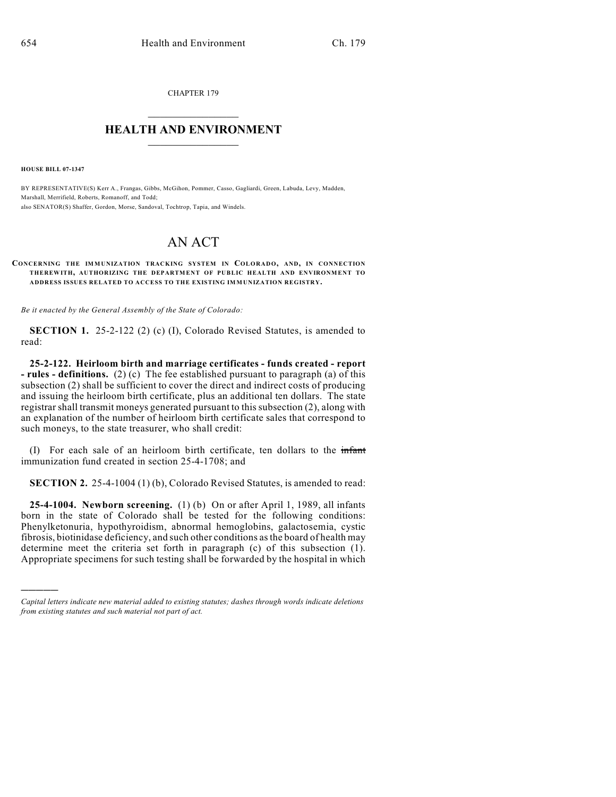CHAPTER 179

## $\mathcal{L}_\text{max}$  . The set of the set of the set of the set of the set of the set of the set of the set of the set of the set of the set of the set of the set of the set of the set of the set of the set of the set of the set **HEALTH AND ENVIRONMENT**  $\_$

**HOUSE BILL 07-1347**

)))))

BY REPRESENTATIVE(S) Kerr A., Frangas, Gibbs, McGihon, Pommer, Casso, Gagliardi, Green, Labuda, Levy, Madden, Marshall, Merrifield, Roberts, Romanoff, and Todd; also SENATOR(S) Shaffer, Gordon, Morse, Sandoval, Tochtrop, Tapia, and Windels.

# AN ACT

#### **CONCERNING THE IMMUNIZATION TRACKING SYSTEM IN COLORADO, AND, IN CONNECTION THEREWITH, AUTHORIZING THE DEPARTMENT OF PUBLIC HEALTH AND ENVIRONMENT TO ADDRESS ISSUES RELATED TO ACCESS TO THE EXISTING IMMUNIZATION REGISTRY.**

*Be it enacted by the General Assembly of the State of Colorado:*

**SECTION 1.** 25-2-122 (2) (c) (I), Colorado Revised Statutes, is amended to read:

**25-2-122. Heirloom birth and marriage certificates - funds created - report - rules - definitions.** (2) (c) The fee established pursuant to paragraph (a) of this subsection (2) shall be sufficient to cover the direct and indirect costs of producing and issuing the heirloom birth certificate, plus an additional ten dollars. The state registrar shall transmit moneys generated pursuant to this subsection (2), along with an explanation of the number of heirloom birth certificate sales that correspond to such moneys, to the state treasurer, who shall credit:

(I) For each sale of an heirloom birth certificate, ten dollars to the infant immunization fund created in section 25-4-1708; and

**SECTION 2.** 25-4-1004 (1) (b), Colorado Revised Statutes, is amended to read:

**25-4-1004. Newborn screening.** (1) (b) On or after April 1, 1989, all infants born in the state of Colorado shall be tested for the following conditions: Phenylketonuria, hypothyroidism, abnormal hemoglobins, galactosemia, cystic fibrosis, biotinidase deficiency, and such other conditions as the board of health may determine meet the criteria set forth in paragraph (c) of this subsection (1). Appropriate specimens for such testing shall be forwarded by the hospital in which

*Capital letters indicate new material added to existing statutes; dashes through words indicate deletions from existing statutes and such material not part of act.*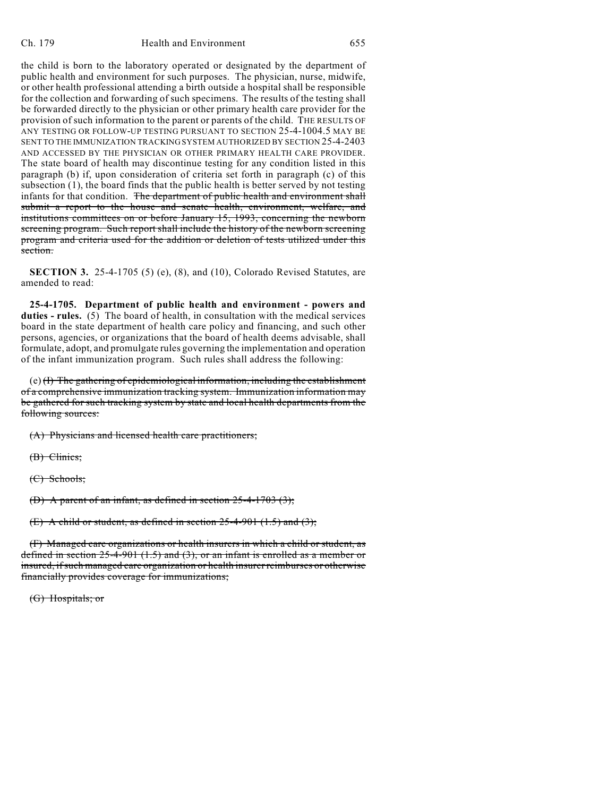#### Ch. 179 Health and Environment 655

the child is born to the laboratory operated or designated by the department of public health and environment for such purposes. The physician, nurse, midwife, or other health professional attending a birth outside a hospital shall be responsible for the collection and forwarding of such specimens. The results of the testing shall be forwarded directly to the physician or other primary health care provider for the provision of such information to the parent or parents of the child. THE RESULTS OF ANY TESTING OR FOLLOW-UP TESTING PURSUANT TO SECTION 25-4-1004.5 MAY BE SENT TO THE IMMUNIZATION TRACKING SYSTEM AUTHORIZED BY SECTION 25-4-2403 AND ACCESSED BY THE PHYSICIAN OR OTHER PRIMARY HEALTH CARE PROVIDER. The state board of health may discontinue testing for any condition listed in this paragraph (b) if, upon consideration of criteria set forth in paragraph (c) of this subsection (1), the board finds that the public health is better served by not testing infants for that condition. The department of public health and environment shall submit a report to the house and senate health, environment, welfare, and institutions committees on or before January 15, 1993, concerning the newborn screening program. Such report shall include the history of the newborn screening program and criteria used for the addition or deletion of tests utilized under this section.

**SECTION 3.** 25-4-1705 (5) (e), (8), and (10), Colorado Revised Statutes, are amended to read:

**25-4-1705. Department of public health and environment - powers and duties - rules.** (5) The board of health, in consultation with the medical services board in the state department of health care policy and financing, and such other persons, agencies, or organizations that the board of health deems advisable, shall formulate, adopt, and promulgate rules governing the implementation and operation of the infant immunization program. Such rules shall address the following:

(e) (I) The gathering of epidemiological information, including the establishment of a comprehensive immunization tracking system. Immunization information may be gathered for such tracking system by state and local health departments from the following sources:

(A) Physicians and licensed health care practitioners;

(B) Clinics;

(C) Schools;

(D) A parent of an infant, as defined in section 25-4-1703 (3);

(E) A child or student, as defined in section  $25-4-901$  (1.5) and (3);

(F) Managed care organizations or health insurers in which a child or student, as defined in section  $25-4-901$  (1.5) and (3), or an infant is enrolled as a member or insured, if such managed care organization or health insurer reimburses or otherwise financially provides coverage for immunizations;

(G) Hospitals; or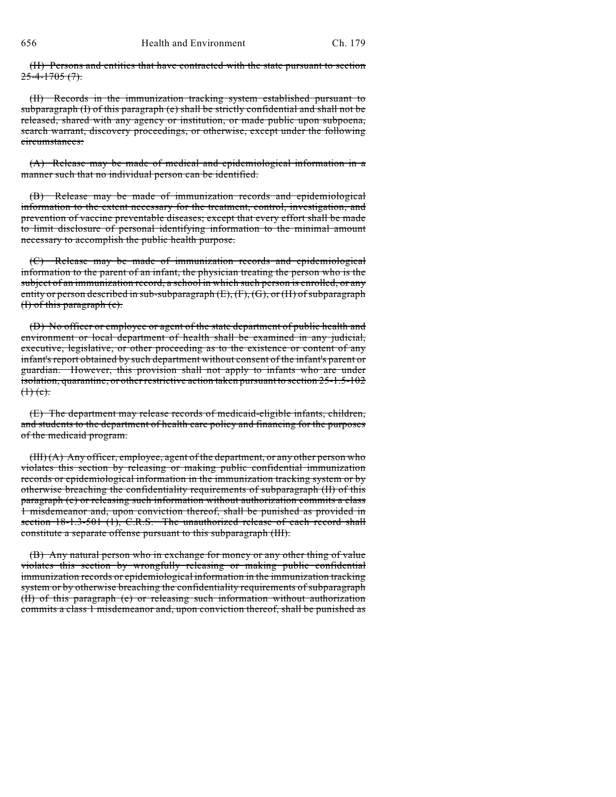(H) Persons and entities that have contracted with the state pursuant to section  $25 - 4 - 1705 (7)$ .

(II) Records in the immunization tracking system established pursuant to subparagraph (I) of this paragraph (e) shall be strictly confidential and shall not be released, shared with any agency or institution, or made public upon subpoena, search warrant, discovery proceedings, or otherwise, except under the following circumstances:

(A) Release may be made of medical and epidemiological information in a manner such that no individual person can be identified.

(B) Release may be made of immunization records and epidemiological information to the extent necessary for the treatment, control, investigation, and prevention of vaccine preventable diseases; except that every effort shall be made to limit disclosure of personal identifying information to the minimal amount necessary to accomplish the public health purpose.

(C) Release may be made of immunization records and epidemiological information to the parent of an infant, the physician treating the person who is the subject of an immunization record, a school in which such person is enrolled, or any entity or person described in sub-subparagraph (E), (F), (G), or (H) of subparagraph (I) of this paragraph (e).

(D) No officer or employee or agent of the state department of public health and environment or local department of health shall be examined in any judicial, executive, legislative, or other proceeding as to the existence or content of any infant's report obtained by such department without consent of the infant's parent or guardian. However, this provision shall not apply to infants who are under isolation, quarantine, or other restrictive action taken pursuant to section 25-1.5-102  $(1)$  (c).

(E) The department may release records of medicaid-eligible infants, children, and students to the department of health care policy and financing for the purposes of the medicaid program.

(III) (A) Any officer, employee, agent of the department, or any other person who violates this section by releasing or making public confidential immunization records or epidemiological information in the immunization tracking system or by otherwise breaching the confidentiality requirements of subparagraph (II) of this paragraph (e) or releasing such information without authorization commits a class 1 misdemeanor and, upon conviction thereof, shall be punished as provided in section 18-1.3-501 (1), C.R.S. The unauthorized release of each record shall constitute a separate offense pursuant to this subparagraph (III).

(B) Any natural person who in exchange for money or any other thing of value violates this section by wrongfully releasing or making public confidential immunization records or epidemiological information in the immunization tracking system or by otherwise breaching the confidentiality requirements of subparagraph (II) of this paragraph (e) or releasing such information without authorization commits a class 1 misdemeanor and, upon conviction thereof, shall be punished as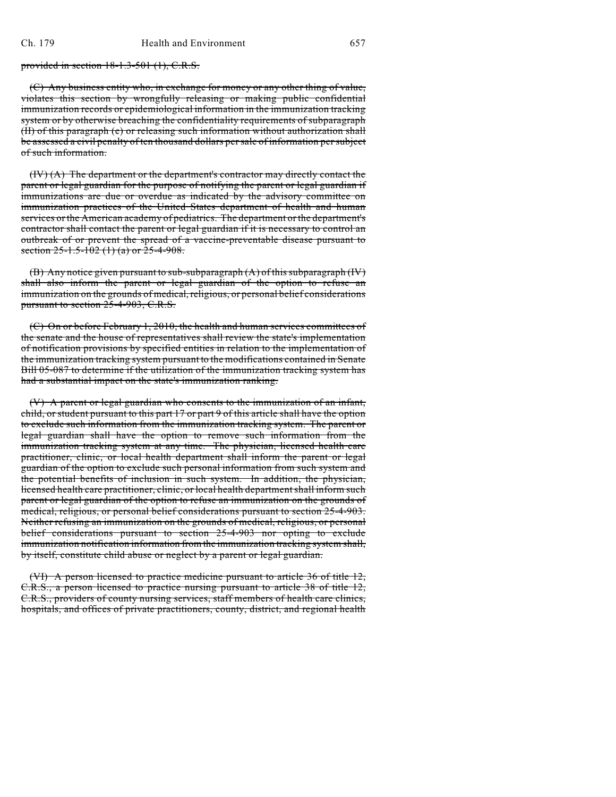provided in section 18-1.3-501 (1), C.R.S.

(C) Any business entity who, in exchange for money or any other thing of value, violates this section by wrongfully releasing or making public confidential immunization records or epidemiological information in the immunization tracking system or by otherwise breaching the confidentiality requirements of subparagraph (II) of this paragraph (e) or releasing such information without authorization shall be assessed a civil penalty of ten thousand dollars per sale of information per subject of such information.

(IV) (A) The department or the department's contractor may directly contact the parent or legal guardian for the purpose of notifying the parent or legal guardian if immunizations are due or overdue as indicated by the advisory committee on immunization practices of the United States department of health and human services or the American academy of pediatrics. The department or the department's contractor shall contact the parent or legal guardian if it is necessary to control an outbreak of or prevent the spread of a vaccine-preventable disease pursuant to section  $25-1.5-102$  (1) (a) or  $25-4-908$ .

(B) Any notice given pursuant to sub-subparagraph (A) of this subparagraph (IV) shall also inform the parent or legal guardian of the option to refuse an immunization on the grounds of medical, religious, or personal belief considerations pursuant to section 25-4-903, C.R.S.

(C) On or before February 1, 2010, the health and human services committees of the senate and the house of representatives shall review the state's implementation of notification provisions by specified entities in relation to the implementation of the immunization tracking system pursuant to the modifications contained in Senate Bill 05-087 to determine if the utilization of the immunization tracking system has had a substantial impact on the state's immunization ranking.

(V) A parent or legal guardian who consents to the immunization of an infant, child, or student pursuant to this part 17 or part 9 of this article shall have the option to exclude such information from the immunization tracking system. The parent or legal guardian shall have the option to remove such information from the immunization tracking system at any time. The physician, licensed health care practitioner, clinic, or local health department shall inform the parent or legal guardian of the option to exclude such personal information from such system and the potential benefits of inclusion in such system. In addition, the physician, licensed health care practitioner, clinic, or local health department shall inform such parent or legal guardian of the option to refuse an immunization on the grounds of medical, religious, or personal belief considerations pursuant to section 25-4-903. Neither refusing an immunization on the grounds of medical, religious, or personal belief considerations pursuant to section 25-4-903 nor opting to exclude immunization notification information from the immunization tracking system shall, by itself, constitute child abuse or neglect by a parent or legal guardian.

(VI) A person licensed to practice medicine pursuant to article 36 of title 12, C.R.S., a person licensed to practice nursing pursuant to article 38 of title 12, C.R.S., providers of county nursing services, staff members of health care clinics, hospitals, and offices of private practitioners, county, district, and regional health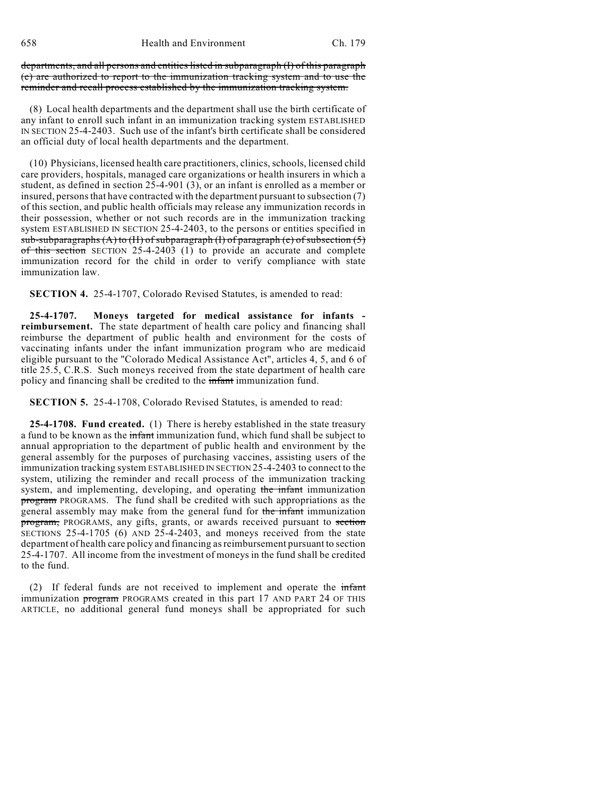658 Health and Environment Ch. 179

departments, and all persons and entities listed in subparagraph (I) of this paragraph (e) are authorized to report to the immunization tracking system and to use the reminder and recall process established by the immunization tracking system.

(8) Local health departments and the department shall use the birth certificate of any infant to enroll such infant in an immunization tracking system ESTABLISHED IN SECTION 25-4-2403. Such use of the infant's birth certificate shall be considered an official duty of local health departments and the department.

(10) Physicians, licensed health care practitioners, clinics, schools, licensed child care providers, hospitals, managed care organizations or health insurers in which a student, as defined in section 25-4-901 (3), or an infant is enrolled as a member or insured, persons that have contracted with the department pursuant to subsection (7) of this section, and public health officials may release any immunization records in their possession, whether or not such records are in the immunization tracking system ESTABLISHED IN SECTION 25-4-2403, to the persons or entities specified in sub-subparagraphs  $(A)$  to  $(H)$  of subparagraph  $(I)$  of paragraph  $(e)$  of subsection  $(5)$ of this section SECTION 25-4-2403 (1) to provide an accurate and complete immunization record for the child in order to verify compliance with state immunization law.

**SECTION 4.** 25-4-1707, Colorado Revised Statutes, is amended to read:

**25-4-1707. Moneys targeted for medical assistance for infants reimbursement.** The state department of health care policy and financing shall reimburse the department of public health and environment for the costs of vaccinating infants under the infant immunization program who are medicaid eligible pursuant to the "Colorado Medical Assistance Act", articles 4, 5, and 6 of title 25.5, C.R.S. Such moneys received from the state department of health care policy and financing shall be credited to the infant immunization fund.

**SECTION 5.** 25-4-1708, Colorado Revised Statutes, is amended to read:

**25-4-1708. Fund created.** (1) There is hereby established in the state treasury a fund to be known as the infant immunization fund, which fund shall be subject to annual appropriation to the department of public health and environment by the general assembly for the purposes of purchasing vaccines, assisting users of the immunization tracking system ESTABLISHED IN SECTION 25-4-2403 to connect to the system, utilizing the reminder and recall process of the immunization tracking system, and implementing, developing, and operating the infant immunization program PROGRAMS. The fund shall be credited with such appropriations as the general assembly may make from the general fund for the infant immunization program, PROGRAMS, any gifts, grants, or awards received pursuant to section SECTIONS 25-4-1705 (6) AND 25-4-2403, and moneys received from the state department of health care policy and financing as reimbursement pursuant to section 25-4-1707. All income from the investment of moneys in the fund shall be credited to the fund.

(2) If federal funds are not received to implement and operate the infant immunization program PROGRAMS created in this part 17 AND PART 24 OF THIS ARTICLE, no additional general fund moneys shall be appropriated for such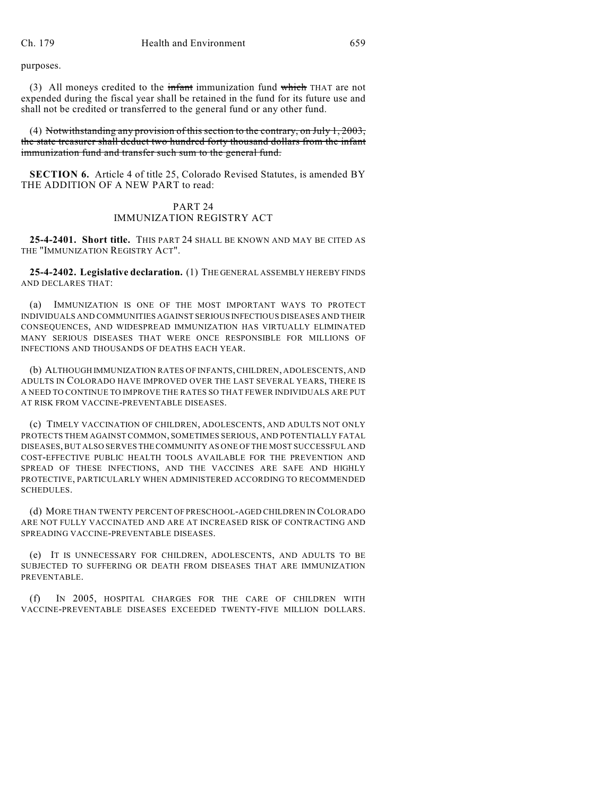purposes.

(3) All moneys credited to the  $\frac{1}{2}$  infant immunization fund which THAT are not expended during the fiscal year shall be retained in the fund for its future use and shall not be credited or transferred to the general fund or any other fund.

(4) Notwithstanding any provision of this section to the contrary, on July 1, 2003, the state treasurer shall deduct two hundred forty thousand dollars from the infant immunization fund and transfer such sum to the general fund.

**SECTION 6.** Article 4 of title 25, Colorado Revised Statutes, is amended BY THE ADDITION OF A NEW PART to read:

### PART 24 IMMUNIZATION REGISTRY ACT

**25-4-2401. Short title.** THIS PART 24 SHALL BE KNOWN AND MAY BE CITED AS THE "IMMUNIZATION REGISTRY ACT".

**25-4-2402. Legislative declaration.** (1) THE GENERAL ASSEMBLY HEREBY FINDS AND DECLARES THAT:

(a) IMMUNIZATION IS ONE OF THE MOST IMPORTANT WAYS TO PROTECT INDIVIDUALS AND COMMUNITIES AGAINST SERIOUS INFECTIOUS DISEASES AND THEIR CONSEQUENCES, AND WIDESPREAD IMMUNIZATION HAS VIRTUALLY ELIMINATED MANY SERIOUS DISEASES THAT WERE ONCE RESPONSIBLE FOR MILLIONS OF INFECTIONS AND THOUSANDS OF DEATHS EACH YEAR.

(b) ALTHOUGH IMMUNIZATION RATES OF INFANTS, CHILDREN, ADOLESCENTS, AND ADULTS IN COLORADO HAVE IMPROVED OVER THE LAST SEVERAL YEARS, THERE IS A NEED TO CONTINUE TO IMPROVE THE RATES SO THAT FEWER INDIVIDUALS ARE PUT AT RISK FROM VACCINE-PREVENTABLE DISEASES.

(c) TIMELY VACCINATION OF CHILDREN, ADOLESCENTS, AND ADULTS NOT ONLY PROTECTS THEM AGAINST COMMON, SOMETIMES SERIOUS, AND POTENTIALLY FATAL DISEASES, BUT ALSO SERVES THE COMMUNITY AS ONE OF THE MOST SUCCESSFUL AND COST-EFFECTIVE PUBLIC HEALTH TOOLS AVAILABLE FOR THE PREVENTION AND SPREAD OF THESE INFECTIONS, AND THE VACCINES ARE SAFE AND HIGHLY PROTECTIVE, PARTICULARLY WHEN ADMINISTERED ACCORDING TO RECOMMENDED SCHEDULES.

(d) MORE THAN TWENTY PERCENT OF PRESCHOOL-AGED CHILDREN IN COLORADO ARE NOT FULLY VACCINATED AND ARE AT INCREASED RISK OF CONTRACTING AND SPREADING VACCINE-PREVENTABLE DISEASES.

(e) IT IS UNNECESSARY FOR CHILDREN, ADOLESCENTS, AND ADULTS TO BE SUBJECTED TO SUFFERING OR DEATH FROM DISEASES THAT ARE IMMUNIZATION PREVENTABLE.

(f) IN 2005, HOSPITAL CHARGES FOR THE CARE OF CHILDREN WITH VACCINE-PREVENTABLE DISEASES EXCEEDED TWENTY-FIVE MILLION DOLLARS.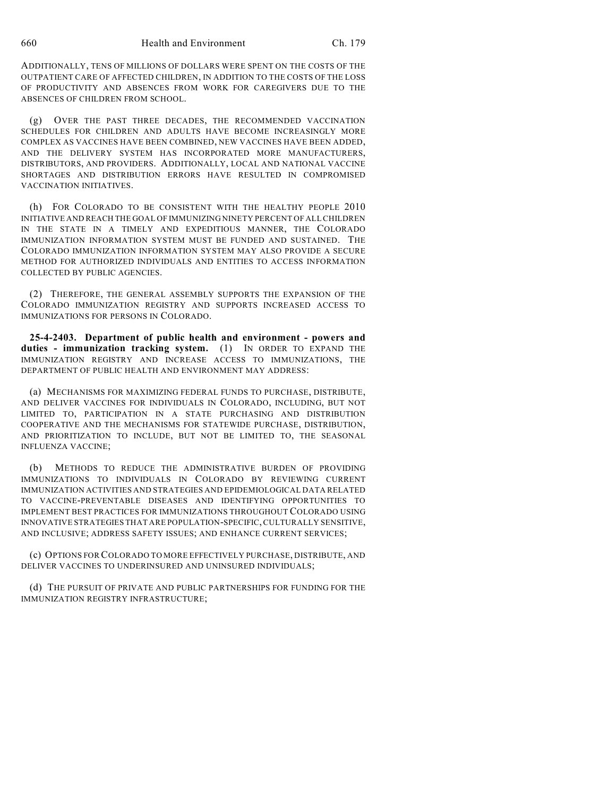ADDITIONALLY, TENS OF MILLIONS OF DOLLARS WERE SPENT ON THE COSTS OF THE OUTPATIENT CARE OF AFFECTED CHILDREN, IN ADDITION TO THE COSTS OF THE LOSS OF PRODUCTIVITY AND ABSENCES FROM WORK FOR CAREGIVERS DUE TO THE ABSENCES OF CHILDREN FROM SCHOOL.

(g) OVER THE PAST THREE DECADES, THE RECOMMENDED VACCINATION SCHEDULES FOR CHILDREN AND ADULTS HAVE BECOME INCREASINGLY MORE COMPLEX AS VACCINES HAVE BEEN COMBINED, NEW VACCINES HAVE BEEN ADDED, AND THE DELIVERY SYSTEM HAS INCORPORATED MORE MANUFACTURERS, DISTRIBUTORS, AND PROVIDERS. ADDITIONALLY, LOCAL AND NATIONAL VACCINE SHORTAGES AND DISTRIBUTION ERRORS HAVE RESULTED IN COMPROMISED VACCINATION INITIATIVES.

(h) FOR COLORADO TO BE CONSISTENT WITH THE HEALTHY PEOPLE 2010 INITIATIVE AND REACH THE GOAL OF IMMUNIZING NINETY PERCENT OF ALL CHILDREN IN THE STATE IN A TIMELY AND EXPEDITIOUS MANNER, THE COLORADO IMMUNIZATION INFORMATION SYSTEM MUST BE FUNDED AND SUSTAINED. THE COLORADO IMMUNIZATION INFORMATION SYSTEM MAY ALSO PROVIDE A SECURE METHOD FOR AUTHORIZED INDIVIDUALS AND ENTITIES TO ACCESS INFORMATION COLLECTED BY PUBLIC AGENCIES.

(2) THEREFORE, THE GENERAL ASSEMBLY SUPPORTS THE EXPANSION OF THE COLORADO IMMUNIZATION REGISTRY AND SUPPORTS INCREASED ACCESS TO IMMUNIZATIONS FOR PERSONS IN COLORADO.

**25-4-2403. Department of public health and environment - powers and duties - immunization tracking system.** (1) IN ORDER TO EXPAND THE IMMUNIZATION REGISTRY AND INCREASE ACCESS TO IMMUNIZATIONS, THE DEPARTMENT OF PUBLIC HEALTH AND ENVIRONMENT MAY ADDRESS:

(a) MECHANISMS FOR MAXIMIZING FEDERAL FUNDS TO PURCHASE, DISTRIBUTE, AND DELIVER VACCINES FOR INDIVIDUALS IN COLORADO, INCLUDING, BUT NOT LIMITED TO, PARTICIPATION IN A STATE PURCHASING AND DISTRIBUTION COOPERATIVE AND THE MECHANISMS FOR STATEWIDE PURCHASE, DISTRIBUTION, AND PRIORITIZATION TO INCLUDE, BUT NOT BE LIMITED TO, THE SEASONAL INFLUENZA VACCINE;

(b) METHODS TO REDUCE THE ADMINISTRATIVE BURDEN OF PROVIDING IMMUNIZATIONS TO INDIVIDUALS IN COLORADO BY REVIEWING CURRENT IMMUNIZATION ACTIVITIES AND STRATEGIES AND EPIDEMIOLOGICAL DATA RELATED TO VACCINE-PREVENTABLE DISEASES AND IDENTIFYING OPPORTUNITIES TO IMPLEMENT BEST PRACTICES FOR IMMUNIZATIONS THROUGHOUT COLORADO USING INNOVATIVE STRATEGIES THAT ARE POPULATION-SPECIFIC, CULTURALLY SENSITIVE, AND INCLUSIVE; ADDRESS SAFETY ISSUES; AND ENHANCE CURRENT SERVICES;

(c) OPTIONS FOR COLORADO TO MORE EFFECTIVELY PURCHASE, DISTRIBUTE, AND DELIVER VACCINES TO UNDERINSURED AND UNINSURED INDIVIDUALS;

(d) THE PURSUIT OF PRIVATE AND PUBLIC PARTNERSHIPS FOR FUNDING FOR THE IMMUNIZATION REGISTRY INFRASTRUCTURE;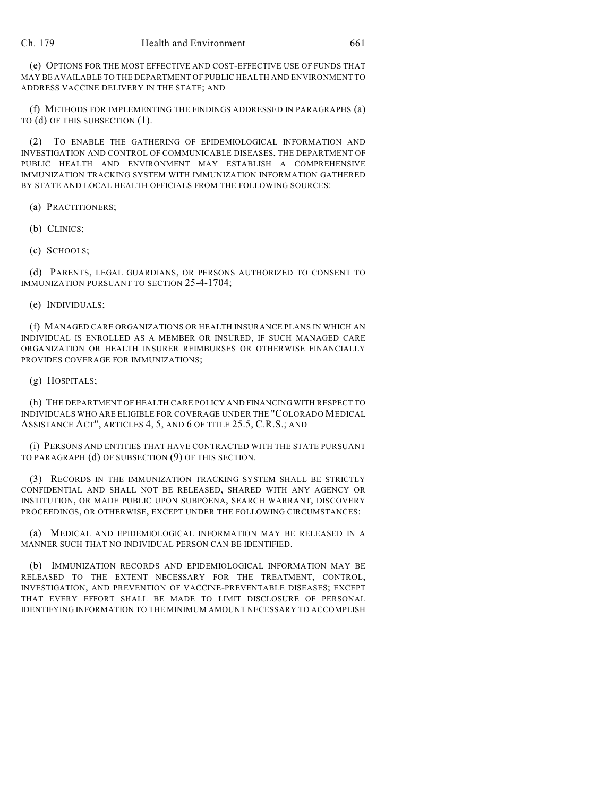(e) OPTIONS FOR THE MOST EFFECTIVE AND COST-EFFECTIVE USE OF FUNDS THAT MAY BE AVAILABLE TO THE DEPARTMENT OF PUBLIC HEALTH AND ENVIRONMENT TO ADDRESS VACCINE DELIVERY IN THE STATE; AND

(f) METHODS FOR IMPLEMENTING THE FINDINGS ADDRESSED IN PARAGRAPHS (a) TO (d) OF THIS SUBSECTION (1).

(2) TO ENABLE THE GATHERING OF EPIDEMIOLOGICAL INFORMATION AND INVESTIGATION AND CONTROL OF COMMUNICABLE DISEASES, THE DEPARTMENT OF PUBLIC HEALTH AND ENVIRONMENT MAY ESTABLISH A COMPREHENSIVE IMMUNIZATION TRACKING SYSTEM WITH IMMUNIZATION INFORMATION GATHERED BY STATE AND LOCAL HEALTH OFFICIALS FROM THE FOLLOWING SOURCES:

(a) PRACTITIONERS;

(b) CLINICS;

(c) SCHOOLS;

(d) PARENTS, LEGAL GUARDIANS, OR PERSONS AUTHORIZED TO CONSENT TO IMMUNIZATION PURSUANT TO SECTION 25-4-1704;

(e) INDIVIDUALS;

(f) MANAGED CARE ORGANIZATIONS OR HEALTH INSURANCE PLANS IN WHICH AN INDIVIDUAL IS ENROLLED AS A MEMBER OR INSURED, IF SUCH MANAGED CARE ORGANIZATION OR HEALTH INSURER REIMBURSES OR OTHERWISE FINANCIALLY PROVIDES COVERAGE FOR IMMUNIZATIONS;

(g) HOSPITALS;

(h) THE DEPARTMENT OF HEALTH CARE POLICY AND FINANCING WITH RESPECT TO INDIVIDUALS WHO ARE ELIGIBLE FOR COVERAGE UNDER THE "COLORADO MEDICAL ASSISTANCE ACT", ARTICLES 4, 5, AND 6 OF TITLE 25.5, C.R.S.; AND

(i) PERSONS AND ENTITIES THAT HAVE CONTRACTED WITH THE STATE PURSUANT TO PARAGRAPH (d) OF SUBSECTION (9) OF THIS SECTION.

(3) RECORDS IN THE IMMUNIZATION TRACKING SYSTEM SHALL BE STRICTLY CONFIDENTIAL AND SHALL NOT BE RELEASED, SHARED WITH ANY AGENCY OR INSTITUTION, OR MADE PUBLIC UPON SUBPOENA, SEARCH WARRANT, DISCOVERY PROCEEDINGS, OR OTHERWISE, EXCEPT UNDER THE FOLLOWING CIRCUMSTANCES:

(a) MEDICAL AND EPIDEMIOLOGICAL INFORMATION MAY BE RELEASED IN A MANNER SUCH THAT NO INDIVIDUAL PERSON CAN BE IDENTIFIED.

(b) IMMUNIZATION RECORDS AND EPIDEMIOLOGICAL INFORMATION MAY BE RELEASED TO THE EXTENT NECESSARY FOR THE TREATMENT, CONTROL, INVESTIGATION, AND PREVENTION OF VACCINE-PREVENTABLE DISEASES; EXCEPT THAT EVERY EFFORT SHALL BE MADE TO LIMIT DISCLOSURE OF PERSONAL IDENTIFYING INFORMATION TO THE MINIMUM AMOUNT NECESSARY TO ACCOMPLISH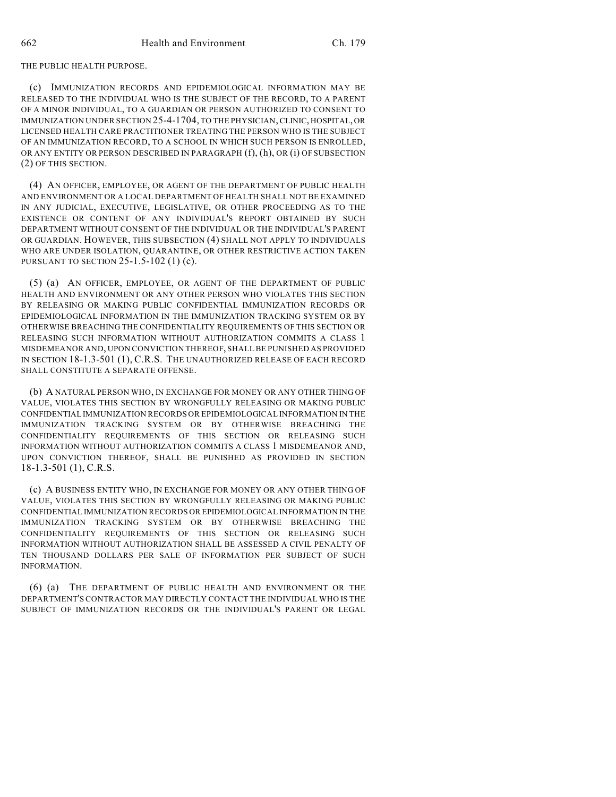THE PUBLIC HEALTH PURPOSE.

(c) IMMUNIZATION RECORDS AND EPIDEMIOLOGICAL INFORMATION MAY BE RELEASED TO THE INDIVIDUAL WHO IS THE SUBJECT OF THE RECORD, TO A PARENT OF A MINOR INDIVIDUAL, TO A GUARDIAN OR PERSON AUTHORIZED TO CONSENT TO IMMUNIZATION UNDER SECTION 25-4-1704, TO THE PHYSICIAN, CLINIC, HOSPITAL, OR LICENSED HEALTH CARE PRACTITIONER TREATING THE PERSON WHO IS THE SUBJECT OF AN IMMUNIZATION RECORD, TO A SCHOOL IN WHICH SUCH PERSON IS ENROLLED, OR ANY ENTITY OR PERSON DESCRIBED IN PARAGRAPH (f), (h), OR (i) OF SUBSECTION (2) OF THIS SECTION.

(4) AN OFFICER, EMPLOYEE, OR AGENT OF THE DEPARTMENT OF PUBLIC HEALTH AND ENVIRONMENT OR A LOCAL DEPARTMENT OF HEALTH SHALL NOT BE EXAMINED IN ANY JUDICIAL, EXECUTIVE, LEGISLATIVE, OR OTHER PROCEEDING AS TO THE EXISTENCE OR CONTENT OF ANY INDIVIDUAL'S REPORT OBTAINED BY SUCH DEPARTMENT WITHOUT CONSENT OF THE INDIVIDUAL OR THE INDIVIDUAL'S PARENT OR GUARDIAN. HOWEVER, THIS SUBSECTION (4) SHALL NOT APPLY TO INDIVIDUALS WHO ARE UNDER ISOLATION, QUARANTINE, OR OTHER RESTRICTIVE ACTION TAKEN PURSUANT TO SECTION 25-1.5-102 (1) (c).

(5) (a) AN OFFICER, EMPLOYEE, OR AGENT OF THE DEPARTMENT OF PUBLIC HEALTH AND ENVIRONMENT OR ANY OTHER PERSON WHO VIOLATES THIS SECTION BY RELEASING OR MAKING PUBLIC CONFIDENTIAL IMMUNIZATION RECORDS OR EPIDEMIOLOGICAL INFORMATION IN THE IMMUNIZATION TRACKING SYSTEM OR BY OTHERWISE BREACHING THE CONFIDENTIALITY REQUIREMENTS OF THIS SECTION OR RELEASING SUCH INFORMATION WITHOUT AUTHORIZATION COMMITS A CLASS 1 MISDEMEANOR AND, UPON CONVICTION THEREOF, SHALL BE PUNISHED AS PROVIDED IN SECTION 18-1.3-501 (1), C.R.S. THE UNAUTHORIZED RELEASE OF EACH RECORD SHALL CONSTITUTE A SEPARATE OFFENSE.

(b) A NATURAL PERSON WHO, IN EXCHANGE FOR MONEY OR ANY OTHER THING OF VALUE, VIOLATES THIS SECTION BY WRONGFULLY RELEASING OR MAKING PUBLIC CONFIDENTIAL IMMUNIZATION RECORDS OR EPIDEMIOLOGICAL INFORMATION IN THE IMMUNIZATION TRACKING SYSTEM OR BY OTHERWISE BREACHING THE CONFIDENTIALITY REQUIREMENTS OF THIS SECTION OR RELEASING SUCH INFORMATION WITHOUT AUTHORIZATION COMMITS A CLASS 1 MISDEMEANOR AND, UPON CONVICTION THEREOF, SHALL BE PUNISHED AS PROVIDED IN SECTION 18-1.3-501 (1), C.R.S.

(c) A BUSINESS ENTITY WHO, IN EXCHANGE FOR MONEY OR ANY OTHER THING OF VALUE, VIOLATES THIS SECTION BY WRONGFULLY RELEASING OR MAKING PUBLIC CONFIDENTIAL IMMUNIZATION RECORDS OR EPIDEMIOLOGICAL INFORMATION IN THE IMMUNIZATION TRACKING SYSTEM OR BY OTHERWISE BREACHING THE CONFIDENTIALITY REQUIREMENTS OF THIS SECTION OR RELEASING SUCH INFORMATION WITHOUT AUTHORIZATION SHALL BE ASSESSED A CIVIL PENALTY OF TEN THOUSAND DOLLARS PER SALE OF INFORMATION PER SUBJECT OF SUCH INFORMATION.

(6) (a) THE DEPARTMENT OF PUBLIC HEALTH AND ENVIRONMENT OR THE DEPARTMENT'S CONTRACTOR MAY DIRECTLY CONTACT THE INDIVIDUAL WHO IS THE SUBJECT OF IMMUNIZATION RECORDS OR THE INDIVIDUAL'S PARENT OR LEGAL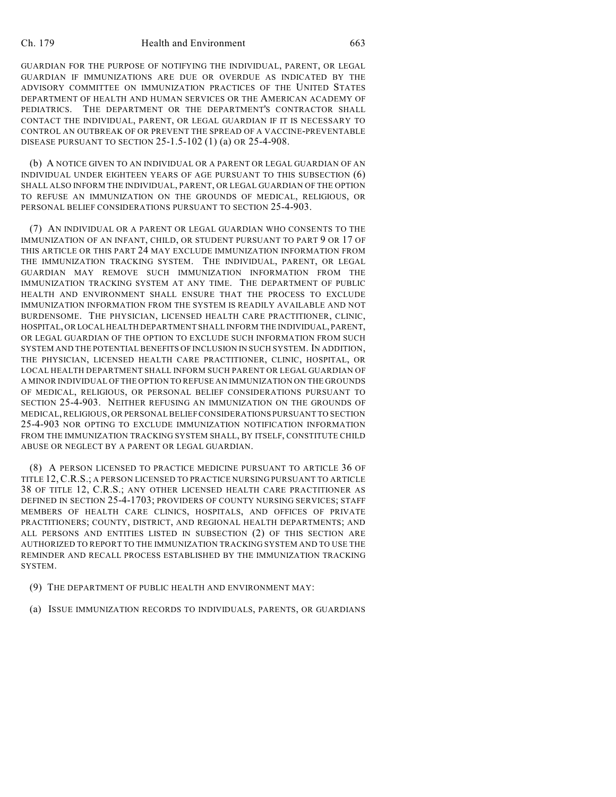#### Ch. 179 Health and Environment 663

GUARDIAN FOR THE PURPOSE OF NOTIFYING THE INDIVIDUAL, PARENT, OR LEGAL GUARDIAN IF IMMUNIZATIONS ARE DUE OR OVERDUE AS INDICATED BY THE ADVISORY COMMITTEE ON IMMUNIZATION PRACTICES OF THE UNITED STATES DEPARTMENT OF HEALTH AND HUMAN SERVICES OR THE AMERICAN ACADEMY OF PEDIATRICS. THE DEPARTMENT OR THE DEPARTMENT'S CONTRACTOR SHALL CONTACT THE INDIVIDUAL, PARENT, OR LEGAL GUARDIAN IF IT IS NECESSARY TO CONTROL AN OUTBREAK OF OR PREVENT THE SPREAD OF A VACCINE-PREVENTABLE DISEASE PURSUANT TO SECTION 25-1.5-102 (1) (a) OR 25-4-908.

(b) A NOTICE GIVEN TO AN INDIVIDUAL OR A PARENT OR LEGAL GUARDIAN OF AN INDIVIDUAL UNDER EIGHTEEN YEARS OF AGE PURSUANT TO THIS SUBSECTION (6) SHALL ALSO INFORM THE INDIVIDUAL, PARENT, OR LEGAL GUARDIAN OF THE OPTION TO REFUSE AN IMMUNIZATION ON THE GROUNDS OF MEDICAL, RELIGIOUS, OR PERSONAL BELIEF CONSIDERATIONS PURSUANT TO SECTION 25-4-903.

(7) AN INDIVIDUAL OR A PARENT OR LEGAL GUARDIAN WHO CONSENTS TO THE IMMUNIZATION OF AN INFANT, CHILD, OR STUDENT PURSUANT TO PART 9 OR 17 OF THIS ARTICLE OR THIS PART 24 MAY EXCLUDE IMMUNIZATION INFORMATION FROM THE IMMUNIZATION TRACKING SYSTEM. THE INDIVIDUAL, PARENT, OR LEGAL GUARDIAN MAY REMOVE SUCH IMMUNIZATION INFORMATION FROM THE IMMUNIZATION TRACKING SYSTEM AT ANY TIME. THE DEPARTMENT OF PUBLIC HEALTH AND ENVIRONMENT SHALL ENSURE THAT THE PROCESS TO EXCLUDE IMMUNIZATION INFORMATION FROM THE SYSTEM IS READILY AVAILABLE AND NOT BURDENSOME. THE PHYSICIAN, LICENSED HEALTH CARE PRACTITIONER, CLINIC, HOSPITAL, OR LOCAL HEALTH DEPARTMENT SHALL INFORM THE INDIVIDUAL, PARENT, OR LEGAL GUARDIAN OF THE OPTION TO EXCLUDE SUCH INFORMATION FROM SUCH SYSTEM AND THE POTENTIAL BENEFITS OF INCLUSION IN SUCH SYSTEM. IN ADDITION, THE PHYSICIAN, LICENSED HEALTH CARE PRACTITIONER, CLINIC, HOSPITAL, OR LOCAL HEALTH DEPARTMENT SHALL INFORM SUCH PARENT OR LEGAL GUARDIAN OF A MINOR INDIVIDUAL OF THE OPTION TO REFUSE AN IMMUNIZATION ON THE GROUNDS OF MEDICAL, RELIGIOUS, OR PERSONAL BELIEF CONSIDERATIONS PURSUANT TO SECTION 25-4-903. NEITHER REFUSING AN IMMUNIZATION ON THE GROUNDS OF MEDICAL, RELIGIOUS, OR PERSONAL BELIEF CONSIDERATIONS PURSUANT TO SECTION 25-4-903 NOR OPTING TO EXCLUDE IMMUNIZATION NOTIFICATION INFORMATION FROM THE IMMUNIZATION TRACKING SYSTEM SHALL, BY ITSELF, CONSTITUTE CHILD ABUSE OR NEGLECT BY A PARENT OR LEGAL GUARDIAN.

(8) A PERSON LICENSED TO PRACTICE MEDICINE PURSUANT TO ARTICLE 36 OF TITLE 12, C.R.S.; A PERSON LICENSED TO PRACTICE NURSING PURSUANT TO ARTICLE 38 OF TITLE 12, C.R.S.; ANY OTHER LICENSED HEALTH CARE PRACTITIONER AS DEFINED IN SECTION 25-4-1703; PROVIDERS OF COUNTY NURSING SERVICES; STAFF MEMBERS OF HEALTH CARE CLINICS, HOSPITALS, AND OFFICES OF PRIVATE PRACTITIONERS; COUNTY, DISTRICT, AND REGIONAL HEALTH DEPARTMENTS; AND ALL PERSONS AND ENTITIES LISTED IN SUBSECTION (2) OF THIS SECTION ARE AUTHORIZED TO REPORT TO THE IMMUNIZATION TRACKING SYSTEM AND TO USE THE REMINDER AND RECALL PROCESS ESTABLISHED BY THE IMMUNIZATION TRACKING SYSTEM.

- (9) THE DEPARTMENT OF PUBLIC HEALTH AND ENVIRONMENT MAY:
- (a) ISSUE IMMUNIZATION RECORDS TO INDIVIDUALS, PARENTS, OR GUARDIANS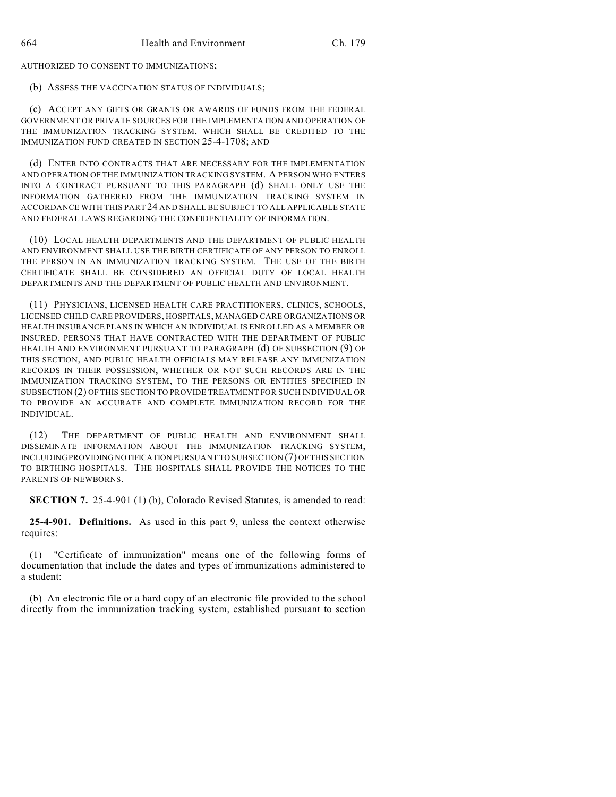AUTHORIZED TO CONSENT TO IMMUNIZATIONS;

(b) ASSESS THE VACCINATION STATUS OF INDIVIDUALS;

(c) ACCEPT ANY GIFTS OR GRANTS OR AWARDS OF FUNDS FROM THE FEDERAL GOVERNMENT OR PRIVATE SOURCES FOR THE IMPLEMENTATION AND OPERATION OF THE IMMUNIZATION TRACKING SYSTEM, WHICH SHALL BE CREDITED TO THE IMMUNIZATION FUND CREATED IN SECTION 25-4-1708; AND

(d) ENTER INTO CONTRACTS THAT ARE NECESSARY FOR THE IMPLEMENTATION AND OPERATION OF THE IMMUNIZATION TRACKING SYSTEM. A PERSON WHO ENTERS INTO A CONTRACT PURSUANT TO THIS PARAGRAPH (d) SHALL ONLY USE THE INFORMATION GATHERED FROM THE IMMUNIZATION TRACKING SYSTEM IN ACCORDANCE WITH THIS PART 24 AND SHALL BE SUBJECT TO ALL APPLICABLE STATE AND FEDERAL LAWS REGARDING THE CONFIDENTIALITY OF INFORMATION.

(10) LOCAL HEALTH DEPARTMENTS AND THE DEPARTMENT OF PUBLIC HEALTH AND ENVIRONMENT SHALL USE THE BIRTH CERTIFICATE OF ANY PERSON TO ENROLL THE PERSON IN AN IMMUNIZATION TRACKING SYSTEM. THE USE OF THE BIRTH CERTIFICATE SHALL BE CONSIDERED AN OFFICIAL DUTY OF LOCAL HEALTH DEPARTMENTS AND THE DEPARTMENT OF PUBLIC HEALTH AND ENVIRONMENT.

(11) PHYSICIANS, LICENSED HEALTH CARE PRACTITIONERS, CLINICS, SCHOOLS, LICENSED CHILD CARE PROVIDERS, HOSPITALS, MANAGED CARE ORGANIZATIONS OR HEALTH INSURANCE PLANS IN WHICH AN INDIVIDUAL IS ENROLLED AS A MEMBER OR INSURED, PERSONS THAT HAVE CONTRACTED WITH THE DEPARTMENT OF PUBLIC HEALTH AND ENVIRONMENT PURSUANT TO PARAGRAPH (d) OF SUBSECTION (9) OF THIS SECTION, AND PUBLIC HEALTH OFFICIALS MAY RELEASE ANY IMMUNIZATION RECORDS IN THEIR POSSESSION, WHETHER OR NOT SUCH RECORDS ARE IN THE IMMUNIZATION TRACKING SYSTEM, TO THE PERSONS OR ENTITIES SPECIFIED IN SUBSECTION (2) OF THIS SECTION TO PROVIDE TREATMENT FOR SUCH INDIVIDUAL OR TO PROVIDE AN ACCURATE AND COMPLETE IMMUNIZATION RECORD FOR THE INDIVIDUAL.

(12) THE DEPARTMENT OF PUBLIC HEALTH AND ENVIRONMENT SHALL DISSEMINATE INFORMATION ABOUT THE IMMUNIZATION TRACKING SYSTEM, INCLUDING PROVIDING NOTIFICATION PURSUANT TO SUBSECTION (7) OF THIS SECTION TO BIRTHING HOSPITALS. THE HOSPITALS SHALL PROVIDE THE NOTICES TO THE PARENTS OF NEWBORNS.

**SECTION 7.** 25-4-901 (1) (b), Colorado Revised Statutes, is amended to read:

**25-4-901. Definitions.** As used in this part 9, unless the context otherwise requires:

"Certificate of immunization" means one of the following forms of documentation that include the dates and types of immunizations administered to a student:

(b) An electronic file or a hard copy of an electronic file provided to the school directly from the immunization tracking system, established pursuant to section